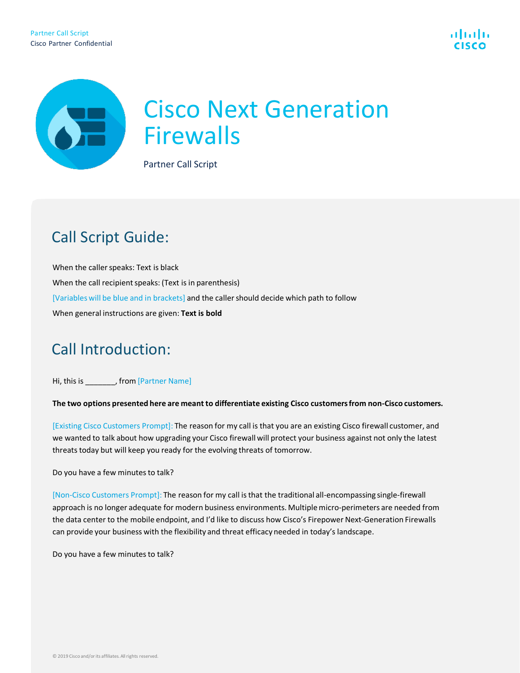

# Cisco Next Generation **Cisco Next**<br>Firewalls Partner Call Script

# Call Script Guide:

When the caller speaks: Text is black When the call recipient speaks: (Text is in parenthesis) [Variables will be blue and in brackets] and the caller should decide which path to follow When general instructions are given: **Text is bold**

## Call Introduction:

Hi, this is \_\_\_\_\_\_\_, from [Partner Name]

**The two options presented here are meant to differentiate existing Cisco customers from non-Cisco customers.** 

[Existing Cisco Customers Prompt]: The reason for my call is that you are an existing Cisco firewall customer, and we wanted to talk about how upgrading your Cisco firewall will protect your business against not only the latest threats today but will keep you ready for the evolving threats of tomorrow.

Do you have a few minutes to talk?

[Non-Cisco Customers Prompt]: The reason for my call is that the traditional all-encompassing single-firewall approach is no longer adequate for modern business environments. Multiple micro-perimeters are needed from the data center to the mobile endpoint, and I'd like to discuss how Cisco's Firepower Next-Generation Firewalls can provide your business with the flexibility and threat efficacy needed in today's landscape.

Do you have a few minutes to talk?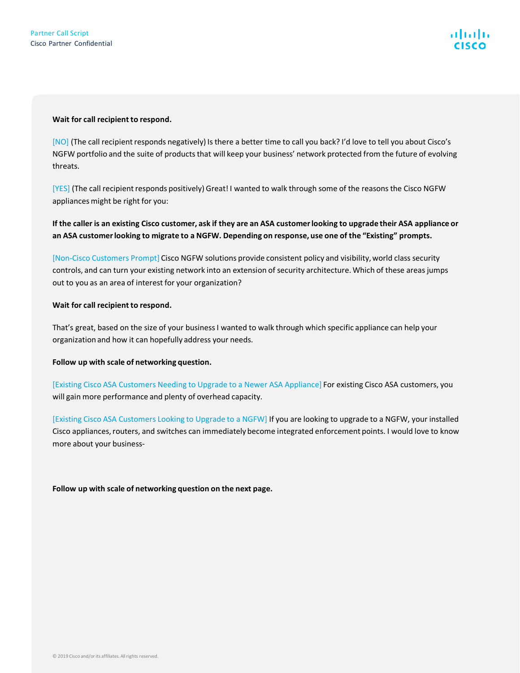#### **Wait for call recipient to respond.**

[NO] (The call recipient responds negatively) Is there a better time to call you back? I'd love to tell you about Cisco's NGFW portfolio and the suite of products that will keep your business' network protected from the future of evolving threats.

[YES] (The call recipient responds positively) Great! I wanted to walk through some of the reasons the Cisco NGFW appliances might be right for you:

**If the caller is an existing Cisco customer, ask if they are an ASA customer looking to upgrade their ASA appliance or an ASA customer looking to migrate to a NGFW. Depending on response, use one of the "Existing" prompts.** 

[Non-Cisco Customers Prompt] Cisco NGFW solutions provide consistent policy and visibility, world class security controls, and can turn your existing network into an extension of security architecture. Which of these areas jumps out to you as an area of interest for your organization?

#### **Wait for call recipient to respond.**

That's great, based on the size of your business I wanted to walk through which specific appliance can help your organization and how it can hopefully address your needs.

**Follow up with scale of networking question.**

[Existing Cisco ASA Customers Needing to Upgrade to a Newer ASA Appliance] For existing Cisco ASA customers, you will gain more performance and plenty of overhead capacity.

[Existing Cisco ASA Customers Looking to Upgrade to a NGFW] If you are looking to upgrade to a NGFW, your installed Cisco appliances, routers, and switches can immediately become integrated enforcement points. I would love to know more about your business-

**Follow up with scale of networking question on the next page.**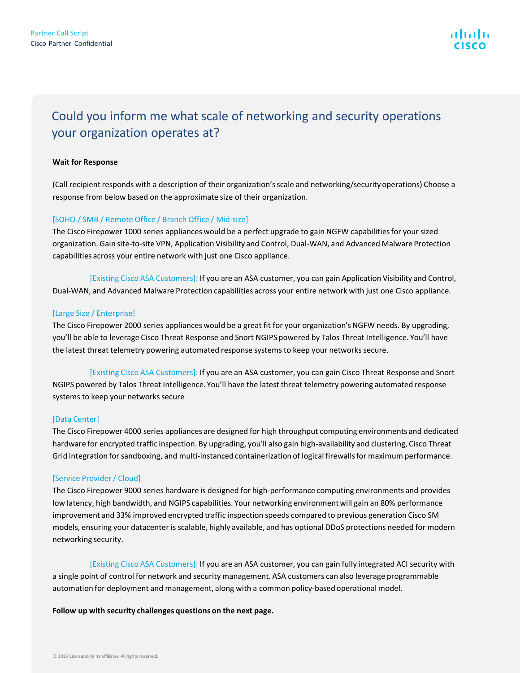### Could you inform me what scale of networking and security operations your organization operates at?

#### **Wait for Response**

(Call recipient responds with a description of their organization's scale and networking/security operations) Choose a response from below based on the approximate size of their organization.

#### [SOHO / SMB / Remote Office / Branch Office / Mid-size]

The Cisco Firepower 1000 series appliances would be a perfect upgrade to gain NGFW capabilities for your sized organization. Gain site-to-site VPN, Application Visibility and Control, Dual-WAN, and Advanced Malware Protection capabilities across your entire network with just one Cisco appliance.

[Existing Cisco ASA Customers]: If you are an ASA customer, you can gain Application Visibility and Control, Dual-WAN, and Advanced Malware Protection capabilities across your entire network with just one Cisco appliance.

#### [Large Size / Enterprise]

The Cisco Firepower 2000 series appliances would be a great fit for your organization's NGFW needs. By upgrading, you'll be able to leverage Cisco Threat Response and Snort NGIPS powered by Talos Threat Intelligence. You'll have the latest threat telemetry powering automated response systems to keep your networks secure.

[Existing Cisco ASA Customers]: If you are an ASA customer, you can gain Cisco Threat Response and Snort NGIPS powered by Talos Threat Intelligence. You'll have the latest threat telemetry powering automated response systems to keep your networks secure

#### [Data Center]

The Cisco Firepower 4000 series appliances are designed for high throughput computing environments and dedicated hardware for encrypted traffic inspection. By upgrading, you'll also gain high-availability and clustering, Cisco Threat Grid integration for sandboxing, and multi-instanced containerization of logical firewalls for maximum performance.

#### [Service Provider / Cloud]

The Cisco Firepower 9000 series hardware is designed for high-performance computing environments and provides low latency, high bandwidth, and NGIPS capabilities. Your networking environment will gain an 80% performance improvement and 33% improved encrypted traffic inspection speeds compared to previous generation Cisco SM models, ensuring your datacenter is scalable, highly available, and has optional DDoS protections needed for modern networking security.

[Existing Cisco ASA Customers]: If you are an ASA customer, you can gain fully integrated ACI security with a single point of control for network and security management. ASA customers can also leverage programmable automation for deployment and management, along with a common policy-based operational model.

#### **Follow up with security challenges questions on the next page.**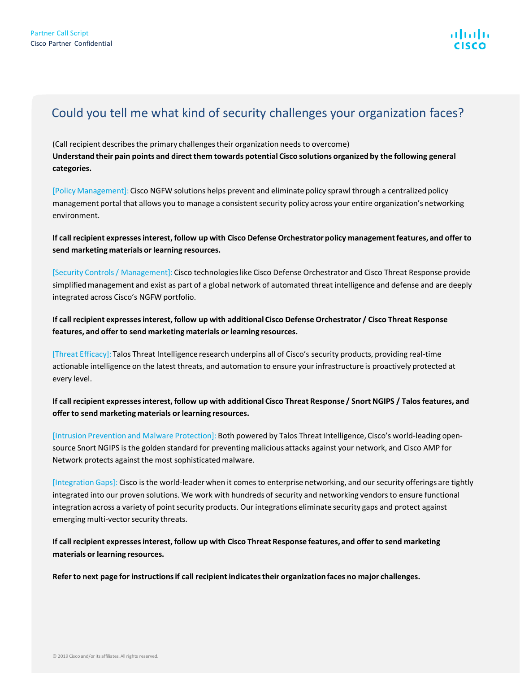### Could you tell me what kind of security challenges your organization faces?

(Call recipient describes the primary challenges their organization needs to overcome) **Understand their pain points and direct them towards potential Cisco solutions organized by the following general categories.**

[Policy Management]: Cisco NGFW solutions helps prevent and eliminate policy sprawl through a centralized policy management portal that allows you to manage a consistent security policy across your entire organization's networking environment.

**If call recipient expresses interest, follow up with Cisco Defense Orchestrator policy management features, and offer to send marketing materials or learning resources.**

[Security Controls / Management]: Cisco technologies like Cisco Defense Orchestrator and Cisco Threat Response provide simplified management and exist as part of a global network of automated threat intelligence and defense and are deeply integrated across Cisco's NGFW portfolio.

**If call recipient expresses interest, follow up with additional Cisco Defense Orchestrator / Cisco Threat Response features, and offer to send marketing materials or learning resources.**

[Threat Efficacy]: Talos Threat Intelligence research underpins all of Cisco's security products, providing real-time actionable intelligence on the latest threats, and automation to ensure your infrastructure is proactively protected at every level.

**If call recipient expresses interest, follow up with additional Cisco Threat Response / Snort NGIPS / Talos features, and offer to send marketing materials or learning resources.**

[Intrusion Prevention and Malware Protection]: Both powered by Talos Threat Intelligence, Cisco's world-leading opensource Snort NGIPS is the golden standard for preventing malicious attacks against your network, and Cisco AMP for Network protects against the most sophisticated malware.

[Integration Gaps]: Cisco is the world-leader when it comes to enterprise networking, and our security offerings are tightly integrated into our proven solutions. We work with hundreds of security and networking vendors to ensure functional integration across a variety of point security products. Our integrations eliminate security gaps and protect against emerging multi-vector security threats.

**If call recipient expresses interest, follow up with Cisco Threat Response features, and offer to send marketing materials or learning resources.**

**Refer to next page for instructions if call recipient indicates their organization faces no major challenges.**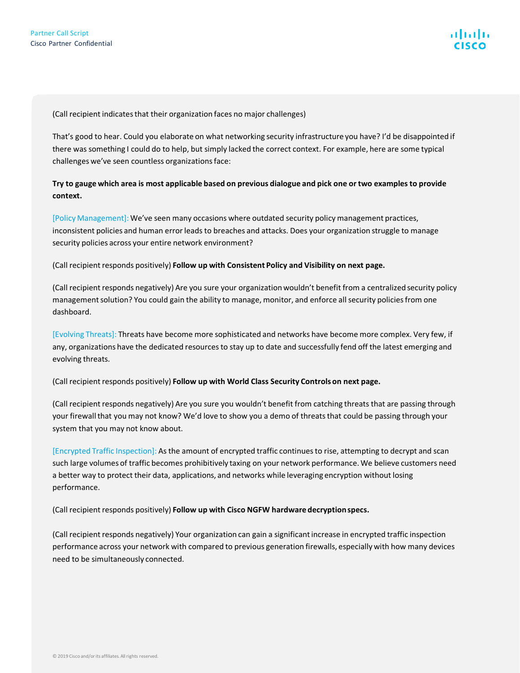(Call recipient indicates that their organization faces no major challenges)

That's good to hear. Could you elaborate on what networking security infrastructure you have? I'd be disappointed if there was something I could do to help, but simply lacked the correct context. For example, here are some typical challenges we've seen countless organizations face:

#### **Try to gauge which area is most applicable based on previous dialogue and pick one or two examples to provide context.**

[Policy Management]: We've seen many occasions where outdated security policy management practices, inconsistent policies and human error leads to breaches and attacks. Does your organization struggle to manage security policies across your entire network environment?

(Call recipient responds positively) **Follow up with Consistent Policy and Visibility on next page.**

(Call recipient responds negatively) Are you sure your organization wouldn't benefit from a centralized security policy management solution? You could gain the ability to manage, monitor, and enforce all security policies from one dashboard.

[Evolving Threats]: Threats have become more sophisticated and networks have become more complex. Very few, if any, organizations have the dedicated resources to stay up to date and successfully fend off the latest emerging and evolving threats.

(Call recipient responds positively) **Follow up with World Class Security Controls on next page.**

(Call recipient responds negatively) Are you sure you wouldn't benefit from catching threats that are passing through your firewall that you may not know? We'd love to show you a demo of threats that could be passing through your system that you may not know about.

[Encrypted Traffic Inspection]: As the amount of encrypted traffic continues to rise, attempting to decrypt and scan such large volumes of traffic becomes prohibitively taxing on your network performance. We believe customers need a better way to protect their data, applications, and networks while leveraging encryption without losing performance.

(Call recipient responds positively) **Follow up with Cisco NGFW hardware decryption specs.**

(Call recipient responds negatively) Your organization can gain a significant increase in encrypted traffic inspection performance across your network with compared to previous generation firewalls, especially with how many devices need to be simultaneously connected.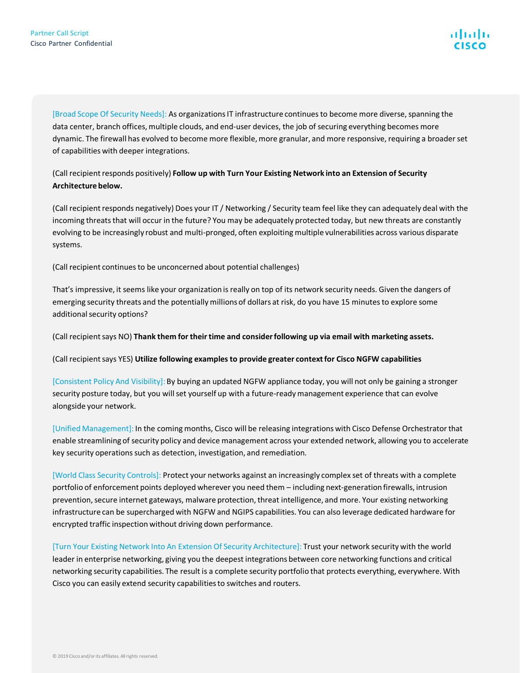[Broad Scope Of Security Needs]: As organizations IT infrastructure continues to become more diverse, spanning the data center, branch offices, multiple clouds, and end-user devices, the job of securing everything becomes more dynamic. The firewall has evolved to become more flexible, more granular, and more responsive, requiring a broader set of capabilities with deeper integrations.

#### (Call recipient responds positively) **Follow up with Turn Your Existing Network into an Extension of Security Architecture below.**

(Call recipient responds negatively) Does your IT / Networking / Security team feel like they can adequately deal with the incoming threats that will occur in the future? You may be adequately protected today, but new threats are constantly evolving to be increasingly robust and multi-pronged, often exploiting multiple vulnerabilities across various disparate systems.

(Call recipient continues to be unconcerned about potential challenges)

That's impressive, it seems like your organization is really on top of its network security needs. Given the dangers of emerging security threats and the potentially millions of dollars at risk, do you have 15 minutes to explore some additional security options?

(Call recipient says NO) **Thank them for their time and consider following up via email with marketing assets.**

(Call recipient says YES) **Utilize following examples to provide greater context for Cisco NGFW capabilities**

[Consistent Policy And Visibility]: By buying an updated NGFW appliance today, you will not only be gaining a stronger security posture today, but you will set yourself up with a future-ready management experience that can evolve alongside your network.

[Unified Management]: In the coming months, Cisco will be releasing integrations with Cisco Defense Orchestrator that enable streamlining of security policy and device management across your extended network, allowing you to accelerate key security operations such as detection, investigation, and remediation.

[World Class Security Controls]: Protect your networks against an increasingly complex set of threats with a complete portfolio of enforcement points deployed wherever you need them – including next-generation firewalls, intrusion prevention, secure internet gateways, malware protection, threat intelligence, and more. Your existing networking infrastructure can be supercharged with NGFW and NGIPS capabilities. You can also leverage dedicated hardware for encrypted traffic inspection without driving down performance.

[Turn Your Existing Network Into An Extension Of Security Architecture]: Trust your network security with the world leader in enterprise networking, giving you the deepest integrations between core networking functions and critical networking security capabilities. The result is a complete security portfolio that protects everything, everywhere. With Cisco you can easily extend security capabilities to switches and routers.